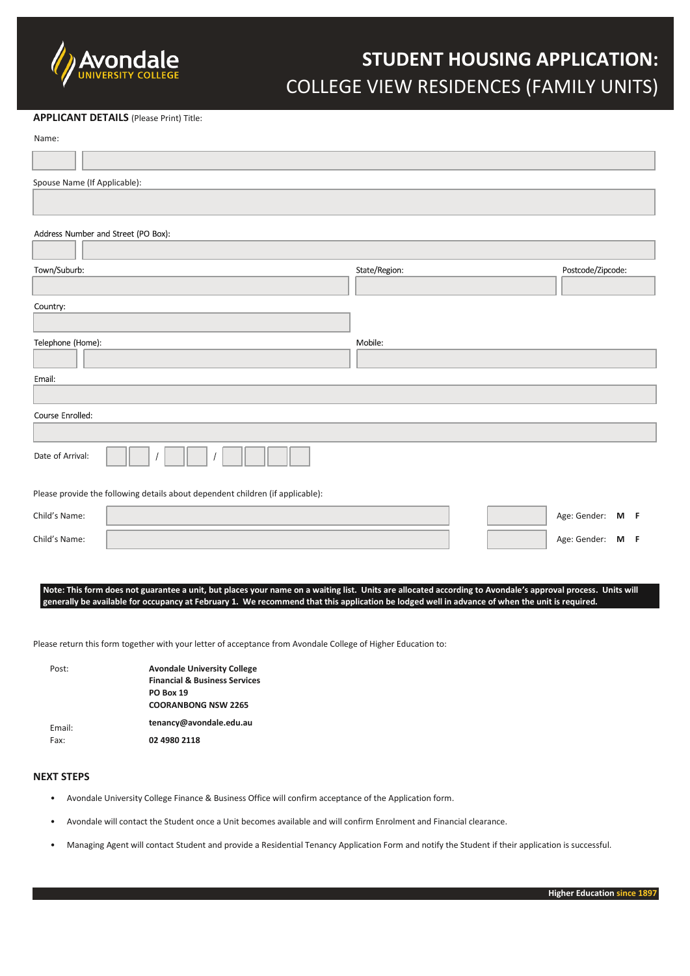

# **STUDENT HOUSING APPLICATION:**  COLLEGE VIEW RESIDENCES (FAMILY UNITS)

#### **APPLICANT DETAILS** (Please Print) Title:

Name:

| Spouse Name (If Applicable):                                                   |               |                   |
|--------------------------------------------------------------------------------|---------------|-------------------|
|                                                                                |               |                   |
|                                                                                |               |                   |
| Address Number and Street (PO Box):                                            |               |                   |
|                                                                                |               |                   |
| Town/Suburb:                                                                   | State/Region: | Postcode/Zipcode: |
|                                                                                |               |                   |
| Country:                                                                       |               |                   |
|                                                                                |               |                   |
| Telephone (Home):                                                              | Mobile:       |                   |
|                                                                                |               |                   |
| Email:                                                                         |               |                   |
|                                                                                |               |                   |
| Course Enrolled:                                                               |               |                   |
|                                                                                |               |                   |
| Date of Arrival:                                                               |               |                   |
| Please provide the following details about dependent children (if applicable): |               |                   |
| Child's Name:                                                                  |               | Age: Gender: M F  |
| Child's Name:                                                                  |               | Age: Gender: M F  |
|                                                                                |               |                   |

**Note: This form does not guarantee a unit, but places your name on a waiting list. Units are allocated according to Avondale's approval process. Units will generally be available for occupancy at February 1. We recommend that this application be lodged well in advance of when the unit is required.**

Please return this form together with your letter of acceptance from Avondale College of Higher Education to:

| Post:          | <b>Avondale University College</b>       |
|----------------|------------------------------------------|
|                | <b>Financial &amp; Business Services</b> |
|                | <b>PO Box 19</b>                         |
|                | <b>COORANBONG NSW 2265</b>               |
| Fmail:<br>Fax: | tenancy@avondale.edu.au                  |
|                | 02 4980 2118                             |

## **NEXT STEPS**

- Avondale University College Finance & Business Office will confirm acceptance of the Application form.
- Avondale will contact the Student once a Unit becomes available and will confirm Enrolment and Financial clearance.
- Managing Agent will contact Student and provide a Residential Tenancy Application Form and notify the Student if their application is successful.